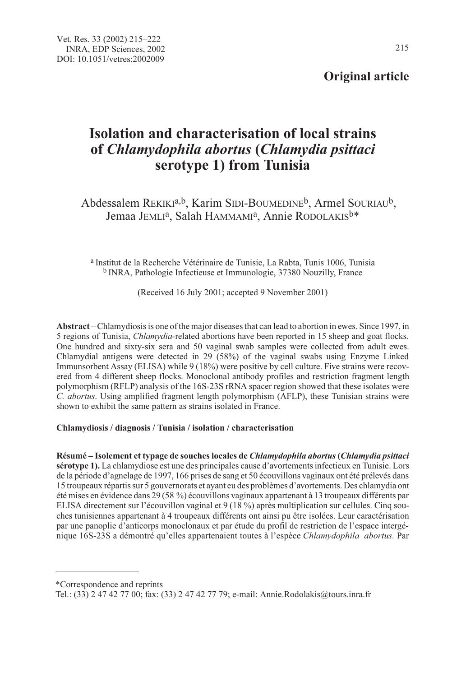## Original article

# Isolation and characterisation of local strains of Chlamydophila abortus (Chlamydia psittaci serotype 1) from Tunisia

Abdessalem REKIKIa,b, Karim SIDI-BOUMEDINEb, Armel SOURIAUb, Jemaa JEMLI<sup>a</sup>, Salah HAMMAMI<sup>a</sup>, Annie RODOLAKIS<sup>b\*</sup>

<sup>a</sup> Institut de la Recherche Vétérinaire de Tunisie, La Rabta, Tunis 1006, Tunisia <sup>b</sup> INRA, Pathologie Infectieuse et Immunologie, 37380 Nouzilly, France

(Received 16 July 2001; accepted 9 November 2001)

Abstract –Chlamydiosis is one of the major diseases that can lead to abortion in ewes. Since 1997, in 5 regions of Tunisia, Chlamydia-related abortions have been reported in 15 sheep and goat flocks. One hundred and sixty-six sera and 50 vaginal swab samples were collected from adult ewes. Chlamydial antigens were detected in 29 (58%) of the vaginal swabs using Enzyme Linked Immunsorbent Assay (ELISA) while 9 (18%) were positive by cell culture. Five strains were recovered from 4 different sheep flocks. Monoclonal antibody profiles and restriction fragment length polymorphism (RFLP) analysis of the 16S-23S rRNA spacer region showed that these isolates were C. abortus. Using amplified fragment length polymorphism (AFLP), these Tunisian strains were shown to exhibit the same pattern as strains isolated in France.

## Chlamydiosis / diagnosis / Tunisia / isolation / characterisation

Résumé – Isolement et typage de souches locales de Chlamydophila abortus (Chlamydia psittaci sérotype 1). La chlamydiose est une des principales cause d'avortements infectieux en Tunisie. Lors de la période d'agnelage de 1997, 166 prises de sang et 50 écouvillons vaginaux ont été prélevés dans 15 troupeaux répartis sur 5 gouvernorats et ayant eu des problèmes d'avortements. Des chlamydia ont été mises en évidence dans 29 (58 %) écouvillons vaginaux appartenant à 13 troupeaux différents par ELISA directement sur l'écouvillon vaginal et 9 (18 %) après multiplication sur cellules. Cinq souches tunisiennes appartenant à 4 troupeaux différents ont ainsi pu être isolées. Leur caractérisation par une panoplie d'anticorps monoclonaux et par étude du profil de restriction de l'espace intergénique 16S-23S a démontré qu'elles appartenaient toutes à l'espèce Chlamydophila abortus. Par

<sup>\*</sup>Correspondence and reprints

Tel.: (33) 2 47 42 77 00; fax: (33) 2 47 42 77 79; e-mail: Annie.Rodolakis@tours.inra.fr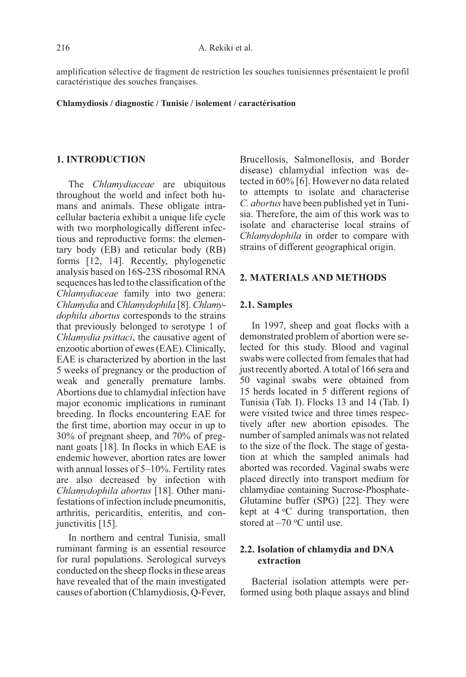amplification sélective de fragment de restriction les souches tunisiennes présentaient le profil caractéristique des souches françaises.

#### Chlamydiosis / diagnostic / Tunisie / isolement / caractérisation

#### 1. INTRODUCTION

The Chlamydiaceae are ubiquitous throughout the world and infect both humans and animals. These obligate intracellular bacteria exhibit a unique life cycle with two morphologically different infectious and reproductive forms: the elementary body (EB) and reticular body (RB) forms [12, 14]. Recently, phylogenetic analysis based on 16S-23S ribosomal RNA sequences has led to the classification of the Chlamydiaceae family into two genera: Chlamydia and Chlamydophila [8]. Chlamydophila abortus corresponds to the strains that previously belonged to serotype 1 of Chlamydia psittaci, the causative agent of enzootic abortion of ewes (EAE). Clinically, EAE is characterized by abortion in the last 5 weeks of pregnancy or the production of weak and generally premature lambs. Abortions due to chlamydial infection have major economic implications in ruminant breeding. In flocks encountering EAE for the first time, abortion may occur in up to 30% of pregnant sheep, and 70% of pregnant goats [18]. In flocks in which EAE is endemic however, abortion rates are lower with annual losses of 5–10%. Fertility rates are also decreased by infection with Chlamydophila abortus [18]. Other manifestations of infection include pneumonitis, arthritis, pericarditis, enteritis, and conjunctivitis [15].

In northern and central Tunisia, small ruminant farming is an essential resource for rural populations. Serological surveys conducted on the sheep flocks in these areas have revealed that of the main investigated causes of abortion (Chlamydiosis, Q-Fever, Brucellosis, Salmonellosis, and Border disease) chlamydial infection was detected in 60% [6]. However no data related to attempts to isolate and characterise C. abortus have been published yet in Tunisia. Therefore, the aim of this work was to isolate and characterise local strains of Chlamydophila in order to compare with strains of different geographical origin.

## 2. MATERIALS AND METHODS

#### 2.1. Samples

In 1997, sheep and goat flocks with a demonstrated problem of abortion were selected for this study. Blood and vaginal swabs were collected from females that had just recently aborted. A total of 166 sera and 50 vaginal swabs were obtained from 15 herds located in 5 different regions of Tunisia (Tab. I). Flocks 13 and 14 (Tab. I) were visited twice and three times respectively after new abortion episodes. The number of sampled animals was not related to the size of the flock. The stage of gestation at which the sampled animals had aborted was recorded. Vaginal swabs were placed directly into transport medium for chlamydiae containing Sucrose-Phosphate-Glutamine buffer (SPG) [22]. They were kept at  $4^{\circ}$ C during transportation, then stored at  $-70$  °C until use.

## 2.2. Isolation of chlamydia and DNA extraction

Bacterial isolation attempts were performed using both plaque assays and blind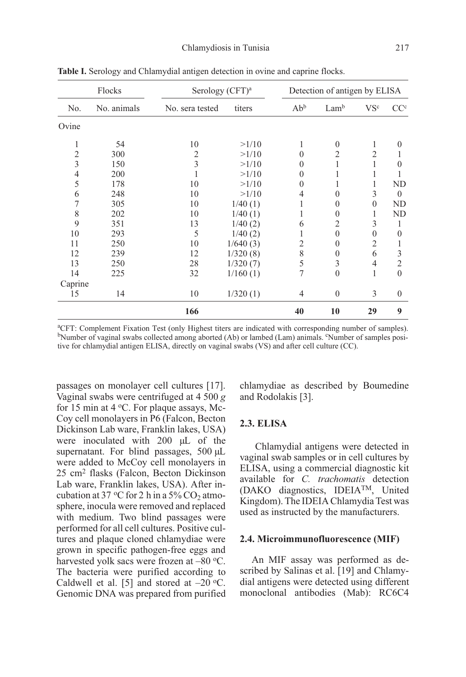| Flocks         |             |                 | Serology (CFT) <sup>a</sup> |                 |                | Detection of antigen by ELISA |                 |  |  |
|----------------|-------------|-----------------|-----------------------------|-----------------|----------------|-------------------------------|-----------------|--|--|
| No.            | No. animals | No. sera tested | titers                      | Ab <sup>b</sup> | Lamb           | VSc                           | CC <sup>c</sup> |  |  |
| Ovine          |             |                 |                             |                 |                |                               |                 |  |  |
| 1              | 54          | 10              | >1/10                       | 1               | $\theta$       | 1                             | $\theta$        |  |  |
| 2              | 300         | 2               | >1/10                       | $\theta$        | 2              | $\overline{2}$                |                 |  |  |
| 3              | 150         | 3               | >1/10                       | $\mathbf{0}$    | 1              |                               | $\theta$        |  |  |
| $\overline{4}$ | 200         |                 | >1/10                       | $\mathbf{0}$    | 1              |                               |                 |  |  |
| 5              | 178         | 10              | >1/10                       | $\mathbf{0}$    | 1              | 1                             | ND              |  |  |
| 6              | 248         | 10              | >1/10                       | 4               | $\theta$       | 3                             | $\theta$        |  |  |
| 7              | 305         | 10              | 1/40(1)                     |                 | $\theta$       | $\theta$                      | ND              |  |  |
| 8              | 202         | 10              | 1/40(1)                     |                 | $\theta$       | 1                             | ND              |  |  |
| 9              | 351         | 13              | 1/40(2)                     | 6               | $\overline{2}$ | 3                             | 1               |  |  |
| 10             | 293         | 5               | 1/40(2)                     |                 | $\theta$       | $\theta$                      | $\theta$        |  |  |
| 11             | 250         | 10              | 1/640(3)                    | 2               | $\theta$       | $\overline{2}$                | 1               |  |  |
| 12             | 239         | 12              | 1/320(8)                    | 8               | $\theta$       | 6                             | 3               |  |  |
| 13             | 250         | 28              | 1/320(7)                    | 5               | 3              | $\overline{4}$                | 2               |  |  |
| 14             | 225         | 32              | 1/160(1)                    | 7               | $\theta$       | 1                             | $\theta$        |  |  |
| Caprine        |             |                 |                             |                 |                |                               |                 |  |  |
| 15             | 14          | 10              | 1/320(1)                    | $\overline{4}$  | $\mathbf{0}$   | 3                             | $\mathbf{0}$    |  |  |
|                |             | 166             |                             | 40              | 10             | 29                            | 9               |  |  |

Table I. Serology and Chlamydial antigen detection in ovine and caprine flocks.

a CFT: Complement Fixation Test (only Highest titers are indicated with corresponding number of samples). bNumber of vaginal swabs collected among aborted (Ab) or lambed (Lam) animals. "Number of samples positive for chlamydial antigen ELISA, directly on vaginal swabs (VS) and after cell culture (CC).

passages on monolayer cell cultures [17]. Vaginal swabs were centrifuged at 4 500 g for 15 min at 4  $\rm{^{\circ}C}$ . For plaque assays, Mc-Coy cell monolayers in P6 (Falcon, Becton Dickinson Lab ware, Franklin lakes, USA) were inoculated with 200 µL of the supernatant. For blind passages, 500 µL were added to McCoy cell monolayers in 25 cm2 flasks (Falcon, Becton Dickinson Lab ware, Franklin lakes, USA). After incubation at 37 °C for 2 h in a 5% CO<sub>2</sub> atmosphere, inocula were removed and replaced with medium. Two blind passages were performed for all cell cultures. Positive cultures and plaque cloned chlamydiae were grown in specific pathogen-free eggs and harvested yolk sacs were frozen at -80 °C. The bacteria were purified according to Caldwell et al. [5] and stored at  $-20$  °C. Genomic DNA was prepared from purified chlamydiae as described by Boumedine and Rodolakis [3].

## 2.3. ELISA

Chlamydial antigens were detected in vaginal swab samples or in cell cultures by ELISA, using a commercial diagnostic kit available for C. trachomatis detection (DAKO diagnostics, IDEIATM, United Kingdom). The IDEIA Chlamydia Test was used as instructed by the manufacturers.

#### 2.4. Microimmunofluorescence (MIF)

An MIF assay was performed as described by Salinas et al. [19] and Chlamydial antigens were detected using different monoclonal antibodies (Mab): RC6C4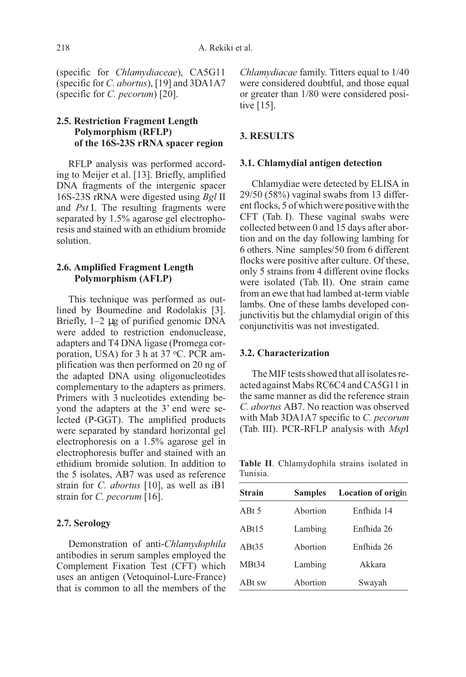(specific for Chlamydiaceae), CA5G11 (specific for C. abortus), [19] and 3DA1A7 (specific for C. pecorum) [20].

## 2.5. Restriction Fragment Length Polymorphism (RFLP) of the 16S-23S rRNA spacer region

RFLP analysis was performed according to Meijer et al. [13]. Briefly, amplified DNA fragments of the intergenic spacer 16S-23S rRNA were digested using Bgl II and Pst I. The resulting fragments were separated by 1.5% agarose gel electrophoresis and stained with an ethidium bromide solution.

## 2.6. Amplified Fragment Length Polymorphism (AFLP)

This technique was performed as outlined by Boumedine and Rodolakis [3]. Briefly, 1–2 µg of purified genomic DNA were added to restriction endonuclease, adapters and T4 DNA ligase (Promega corporation, USA) for 3 h at  $37 \text{ °C}$ . PCR amplification was then performed on 20 ng of the adapted DNA using oligonucleotides complementary to the adapters as primers. Primers with 3 nucleotides extending beyond the adapters at the 3' end were selected (P-GGT). The amplified products were separated by standard horizontal gel electrophoresis on a 1.5% agarose gel in electrophoresis buffer and stained with an ethidium bromide solution. In addition to the 5 isolates, AB7 was used as reference strain for C. *abortus* [10], as well as iB1 strain for C. pecorum [16].

## 2.7. Serology

Demonstration of anti-Chlamydophila antibodies in serum samples employed the Complement Fixation Test (CFT) which uses an antigen (Vetoquinol-Lure-France) that is common to all the members of the Chlamydiacae family. Titters equal to 1/40 were considered doubtful, and those equal or greater than 1/80 were considered positive [15].

## 3. RESULTS

### 3.1. Chlamydial antigen detection

Chlamydiae were detected by ELISA in 29/50 (58%) vaginal swabs from 13 different flocks, 5 of which were positive with the CFT (Tab. I). These vaginal swabs were collected between 0 and 15 days after abortion and on the day following lambing for 6 others. Nine samples/50 from 6 different flocks were positive after culture. Of these, only 5 strains from 4 different ovine flocks were isolated (Tab. II). One strain came from an ewe that had lambed at-term viable lambs. One of these lambs developed conjunctivitis but the chlamydial origin of this conjunctivitis was not investigated.

## 3.2. Characterization

The MIF tests showed that all isolates reacted against Mabs RC6C4 and CA5G11 in the same manner as did the reference strain C. abortus AB7. No reaction was observed with Mab 3DA1A7 specific to C. pecorum (Tab. III). PCR-RFLP analysis with MspI

Table II. Chlamydophila strains isolated in Tunisia.

| <b>Strain</b> | <b>Samples</b> | <b>Location of origin</b> |
|---------------|----------------|---------------------------|
| ABt 5         | Abortion       | Enfhida 14                |
| ABt15         | Lambing        | Enfhida 26                |
| ABt35         | Abortion       | Enfhida 26                |
| MBt34         | Lambing        | Akkara                    |
| ABt sw        | Abortion       | Swayah                    |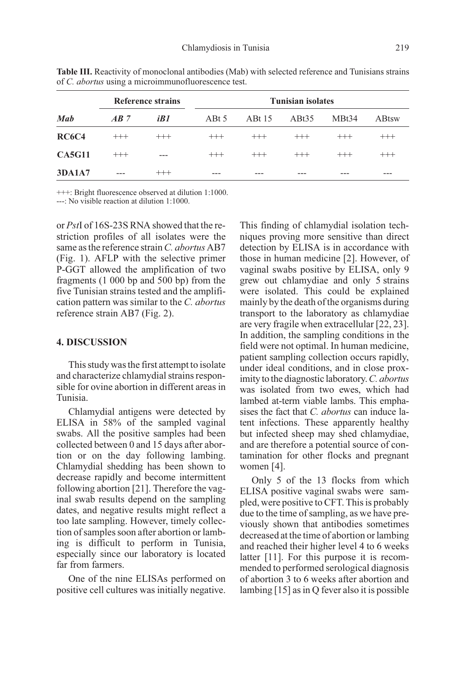| <b>Mab</b>    | <b>Reference strains</b> |          | <b>Tunisian isolates</b> |          |                   |          |               |  |
|---------------|--------------------------|----------|--------------------------|----------|-------------------|----------|---------------|--|
|               | AB7                      | iB1      | ABt 5                    | ABt 15   | ABt <sub>35</sub> | MBt34    | <b>A</b> Btsw |  |
| <b>RC6C4</b>  | $^{+++}$                 | $^{+++}$ | $^{+++}$                 | $^{+++}$ | $^{+++}$          | $^{+++}$ | $^{+++}$      |  |
| <b>CA5G11</b> | $^{+++}$                 | $---$    | $^{+++}$                 | $^{+++}$ | $^{+++}$          | $^{+++}$ | $^{+++}$      |  |
| <b>3DA1A7</b> | $---$                    | $^{+++}$ |                          |          |                   |          | ---           |  |

Table III. Reactivity of monoclonal antibodies (Mab) with selected reference and Tunisians strains of C. abortus using a microimmunofluorescence test.

+++: Bright fluorescence observed at dilution 1:1000. ---: No visible reaction at dilution 1:1000.

or PstI of 16S-23S RNA showed that the restriction profiles of all isolates were the same as the reference strain C. abortus AB7 (Fig. 1). AFLP with the selective primer P-GGT allowed the amplification of two fragments (1 000 bp and 500 bp) from the five Tunisian strains tested and the amplification pattern was similar to the C. abortus reference strain AB7 (Fig. 2).

## 4. DISCUSSION

This study was the first attempt to isolate and characterize chlamydial strains responsible for ovine abortion in different areas in Tunisia.

Chlamydial antigens were detected by ELISA in 58% of the sampled vaginal swabs. All the positive samples had been collected between 0 and 15 days after abortion or on the day following lambing. Chlamydial shedding has been shown to decrease rapidly and become intermittent following abortion [21]. Therefore the vaginal swab results depend on the sampling dates, and negative results might reflect a too late sampling. However, timely collection of samples soon after abortion or lambing is difficult to perform in Tunisia, especially since our laboratory is located far from farmers.

One of the nine ELISAs performed on positive cell cultures was initially negative. This finding of chlamydial isolation techniques proving more sensitive than direct detection by ELISA is in accordance with those in human medicine [2]. However, of vaginal swabs positive by ELISA, only 9 grew out chlamydiae and only 5 strains were isolated. This could be explained mainly by the death of the organisms during transport to the laboratory as chlamydiae are very fragile when extracellular [22, 23]. In addition, the sampling conditions in the field were not optimal. In human medicine, patient sampling collection occurs rapidly, under ideal conditions, and in close proximity to the diagnostic laboratory.C. abortus was isolated from two ewes, which had lambed at-term viable lambs. This emphasises the fact that C. abortus can induce latent infections. These apparently healthy but infected sheep may shed chlamydiae, and are therefore a potential source of contamination for other flocks and pregnant women [4].

Only 5 of the 13 flocks from which ELISA positive vaginal swabs were sampled, were positive to CFT. This is probably due to the time of sampling, as we have previously shown that antibodies sometimes decreased at the time of abortion or lambing and reached their higher level 4 to 6 weeks latter [11]. For this purpose it is recommended to performed serological diagnosis of abortion 3 to 6 weeks after abortion and lambing [15] as in Q fever also it is possible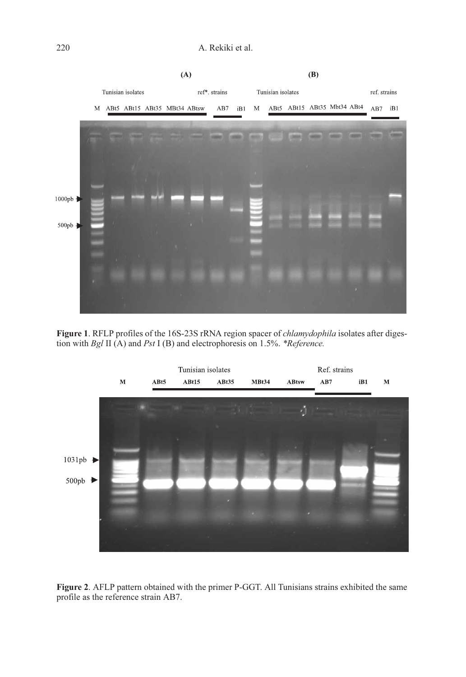

Figure 1. RFLP profiles of the 16S-23S rRNA region spacer of chlamydophila isolates after digestion with Bgl II (A) and Pst I (B) and electrophoresis on 1.5%. \*Reference.



Figure 2. AFLP pattern obtained with the primer P-GGT. All Tunisians strains exhibited the same profile as the reference strain AB7.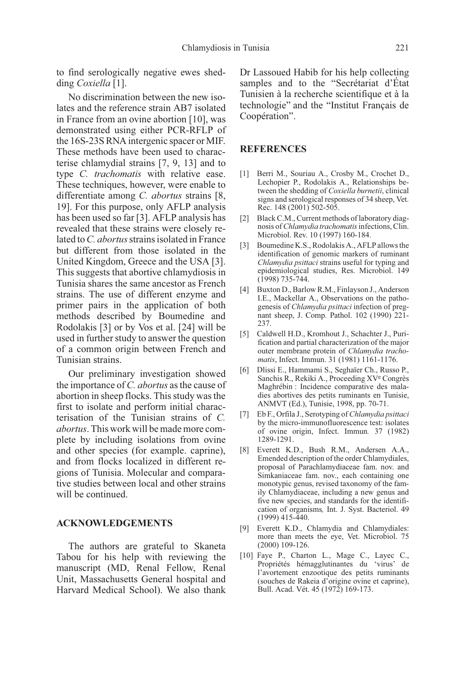to find serologically negative ewes shedding Coxiella [1].

No discrimination between the new isolates and the reference strain AB7 isolated in France from an ovine abortion [10], was demonstrated using either PCR-RFLP of the 16S-23S RNA intergenic spacer or MIF. These methods have been used to characterise chlamydial strains [7, 9, 13] and to type *C. trachomatis* with relative ease. These techniques, however, were enable to differentiate among C. abortus strains [8, 19]. For this purpose, only AFLP analysis has been used so far [3]. AFLP analysis has revealed that these strains were closely related to C. *abortus* strains isolated in France but different from those isolated in the United Kingdom, Greece and the USA [3]. This suggests that abortive chlamydiosis in Tunisia shares the same ancestor as French strains. The use of different enzyme and primer pairs in the application of both methods described by Boumedine and Rodolakis [3] or by Vos et al. [24] will be used in further study to answer the question of a common origin between French and Tunisian strains.

Our preliminary investigation showed the importance of C. abortus as the cause of abortion in sheep flocks. This study was the first to isolate and perform initial characterisation of the Tunisian strains of C. abortus. This work will be made more complete by including isolations from ovine and other species (for example. caprine), and from flocks localized in different regions of Tunisia. Molecular and comparative studies between local and other strains will be continued.

## ACKNOWLEDGEMENTS

The authors are grateful to Skaneta Tabou for his help with reviewing the manuscript (MD, Renal Fellow, Renal Unit, Massachusetts General hospital and Harvard Medical School). We also thank Dr Lassoued Habib for his help collecting samples and to the "Secrétariat d'État Tunisien à la recherche scientifique et à la technologie" and the "Institut Français de Coopération".

## REFERENCES

- [1] Berri M., Souriau A., Crosby M., Crochet D., Lechopier P., Rodolakis A., Relationships between the shedding of Coxiella burnetii, clinical signs and serological responses of 34 sheep, Vet. Rec. 148 (2001) 502-505.
- [2] Black C.M., Current methods of laboratory diagnosis of Chlamydia trachomatis infections, Clin. Microbiol. Rev. 10 (1997) 160-184.
- [3] Boumedine K.S., Rodolakis A., AFLP allows the identification of genomic markers of ruminant Chlamydia psittaci strains useful for typing and epidemiological studies, Res. Microbiol. 149 (1998) 735-744.
- [4] Buxton D., Barlow R.M., Finlayson J., Anderson I.E., Mackellar A., Observations on the pathogenesis of Chlamydia psittaci infection of pregnant sheep, J. Comp. Pathol. 102 (1990) 221- 237.
- [5] Caldwell H.D., Kromhout J., Schachter J., Purification and partial characterization of the major outer membrane protein of Chlamydia trachomatis, Infect. Immun. 31 (1981) 1161-1176.
- [6] Dlissi E., Hammami S., Seghaïer Ch., Russo P., Sanchis R., Rekiki A., Proceeding XVe Congrès Maghrébin : Incidence comparative des maladies abortives des petits ruminants en Tunisie, ANMVT (Ed.), Tunisie, 1998, pp. 70-71.
- [7] Eb F., Orfila J., Serotyping of Chlamydia psittaci by the micro-immunofluorescence test: isolates of ovine origin, Infect. Immun. 37 (1982) 1289-1291.
- [8] Everett K.D., Bush R.M., Andersen A.A., Emended description of the order Chlamydiales, proposal of Parachlamydiaceae fam. nov. and Simkaniaceae fam. nov., each containing one monotypic genus, revised taxonomy of the family Chlamydiaceae, including a new genus and five new species, and standards for the identification of organisms, Int. J. Syst. Bacteriol. 49 (1999) 415-440.
- [9] Everett K.D., Chlamydia and Chlamydiales: more than meets the eye, Vet. Microbiol. 75 (2000) 109-126.
- [10] Faye P., Charton L., Mage C., Layec C., Propriétés hémagglutinantes du 'virus' de l'avortement enzootique des petits ruminants (souches de Rakeia d'origine ovine et caprine), Bull. Acad. Vét. 45 (1972) 169-173.